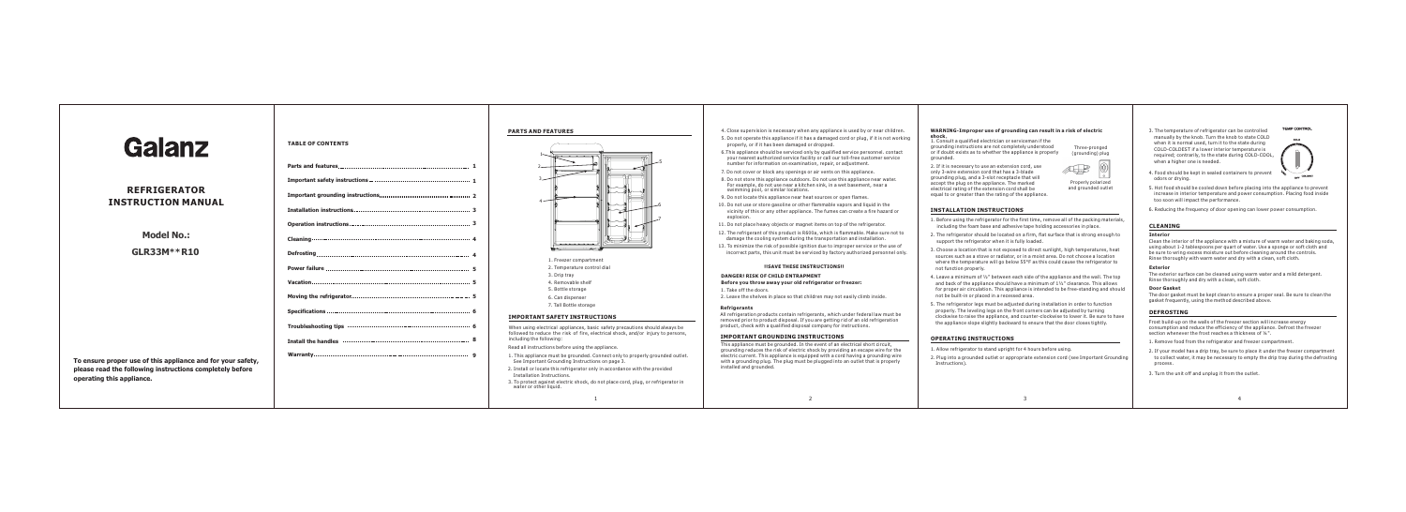## **WARNING-Improper use of grounding can result in a risk of electric shock**. 1. Consult a qualified electrician or serviceman if the

| <b>Galanz</b>                                                                         | <b>TABLE OF CONTENTS</b>                        | <b>PARTS AND FEATURES</b>                                                                                                                                                                                                                                                                                                                                                            | 4. Close supervision is necessary when any appliance is used by or near children.<br>5. Do not operate this appliance if it has a damaged cord or plug, if it is not working<br>properly, or if it has been damaged or dropped.<br>6. This appliance should be serviced only by qualified service personnel, contact<br>your nearest authorized service facility or call our toll-free customer service<br>number for information on examination, repair, or adjustment.<br>7. Do not cover or block any openings or air vents on this appliance.<br>8. Do not store this appliance outdoors. Do not use this appliance near water.<br>For example, do not use near a kitchen sink, in a wet basement, near a | WARNING-Improper use of grounding can result in a risk of electric<br>shock.<br>1. Consult a qualified electrician or serviceman if the<br>grounding instructions are not completely understood<br>Three-pronged<br>or if doubt exists as to whether the appliance is properly<br>(grounding) plug<br>arounded.<br>2. If it is necessary to use an extension cord, use<br>$\mathbb{A}\rightarrow\mathbb{B}$<br>only 3-wire extension cord that has a 3-blade<br>grounding plug, and a 3-slot receptacle that will<br>Properly polarized<br>accept the plug on the appliance. The marked                                                                        | 3. The temperature of refrigerator can b<br>manually by the knob. Turn the knob t<br>when it is normal used, turn it to the s<br>COLD-COLDEST if a lower interior ten<br>required; contrarily, to the state durir<br>when a higher one is needed.<br>4. Food should be kept in sealed contain<br>odors or drying. |
|---------------------------------------------------------------------------------------|-------------------------------------------------|--------------------------------------------------------------------------------------------------------------------------------------------------------------------------------------------------------------------------------------------------------------------------------------------------------------------------------------------------------------------------------------|---------------------------------------------------------------------------------------------------------------------------------------------------------------------------------------------------------------------------------------------------------------------------------------------------------------------------------------------------------------------------------------------------------------------------------------------------------------------------------------------------------------------------------------------------------------------------------------------------------------------------------------------------------------------------------------------------------------|----------------------------------------------------------------------------------------------------------------------------------------------------------------------------------------------------------------------------------------------------------------------------------------------------------------------------------------------------------------------------------------------------------------------------------------------------------------------------------------------------------------------------------------------------------------------------------------------------------------------------------------------------------------|-------------------------------------------------------------------------------------------------------------------------------------------------------------------------------------------------------------------------------------------------------------------------------------------------------------------|
| <b>REFRIGERATOR</b><br><b>INSTRUCTION MANUAL</b>                                      |                                                 |                                                                                                                                                                                                                                                                                                                                                                                      | swimming pool, or similar locations.<br>9. Do not locate this appliance near heat sources or open flames.<br>10. Do not use or store gasoline or other flammable vapors and liquid in the<br>vicinity of this or any other appliance. The fumes can create a fire hazard or<br>explosion.                                                                                                                                                                                                                                                                                                                                                                                                                     | and grounded outlet<br>electrical rating of the extension cord shall be<br>equal to or greater than the rating of the appliance.<br><b>INSTALLATION INSTRUCTIONS</b>                                                                                                                                                                                                                                                                                                                                                                                                                                                                                           | 5. Hot food should be cooled down befor<br>increase in interior temperature and p<br>too soon will impact the performance.<br>6. Reducing the frequency of door open                                                                                                                                              |
| <b>Model No.:</b>                                                                     |                                                 |                                                                                                                                                                                                                                                                                                                                                                                      | 11. Do not place heavy objects or magnet items on top of the refrigerator.<br>12. The refrigerant of this product is R600a, which is flammable. Make sure not to<br>damage the cooling system during the transportation and installation.                                                                                                                                                                                                                                                                                                                                                                                                                                                                     | 1. Before using the refrigerator for the first time, remove all of the packing materials,<br>including the foam base and adhesive tape holding accessories in place.<br>2. The refrigerator should be located on a firm, flat surface that is strong enough to<br>support the refrigerator when it is fully loaded.                                                                                                                                                                                                                                                                                                                                            | <b>CLEANING</b><br><b>Interior</b><br>Clean the interior of the appliance with                                                                                                                                                                                                                                    |
| <b>GLR33M**R10</b>                                                                    |                                                 | 1. Freezer compartment<br>2. Temperature control dial                                                                                                                                                                                                                                                                                                                                | 13. To minimize the risk of possible ignition due to improper service or the use of<br>incorrect parts, this unit must be serviced by factory authorized personnel only.<br><b>!!SAVE THESE INSTRUCTIONS!!</b>                                                                                                                                                                                                                                                                                                                                                                                                                                                                                                | 3. Choose a location that is not exposed to direct sunlight, high temperatures, heat<br>sources such as a stove or radiator, or in a moist area. Do not choose a location<br>where the temperature will go below 55°F as this could cause the refrigerator to<br>not function properly.                                                                                                                                                                                                                                                                                                                                                                        | using about 1-2 tablespoons per quart o<br>be sure to wring excess moisture out be<br>Rinse thoroughly with warm water and o<br><b>Exterior</b>                                                                                                                                                                   |
| To ensure proper use of this appliance and for your safety,                           |                                                 | 3. Drip tray<br>4. Removable shelf<br>5. Bottle storage<br>6. Can dispenser                                                                                                                                                                                                                                                                                                          | <b>DANGER! RISK OF CHILD ENTRAPMENT</b><br>Before you throw away your old refrigerator or freezer:<br>1. Take off the doors.<br>2. Leave the shelves in place so that children may not easily climb inside.                                                                                                                                                                                                                                                                                                                                                                                                                                                                                                   | 4. Leave a minimum of 1/2" between each side of the appliance and the wall. The top<br>and back of the appliance should have a minimum of 11/2" clearance. This allows<br>for proper air circulation. This appliance is intended to be free-standing and should<br>not be built-in or placed in a recessed area.<br>5. The refrigerator legs must be adjusted during installation in order to function<br>properly. The leveling legs on the front corners can be adjusted by turning<br>clockwise to raise the appliance, and counter-clockwise to lower it. Be sure to have<br>the appliance slope slightly backward to ensure that the door closes tightly. | The exterior surface can be cleaned usir<br>Rinse thoroughly and dry with a clean, s<br><b>Door Gasket</b><br>The door gasket must be kept clean to e<br>gasket frequently, using the method des<br><b>DEFROSTING</b><br>Frost build-up on the walls of the freeze<br>consumption and reduce the efficiency       |
|                                                                                       |                                                 | 7. Tall Bottle storage<br><b>IMPORTANT SAFETY INSTRUCTIONS</b>                                                                                                                                                                                                                                                                                                                       | <b>Refrigerants</b><br>All refrigeration products contain refrigerants, which under federal law must be<br>removed prior to product disposal. If you are getting rid of an old refrigeration<br>product, check with a qualified disposal company for instructions.                                                                                                                                                                                                                                                                                                                                                                                                                                            |                                                                                                                                                                                                                                                                                                                                                                                                                                                                                                                                                                                                                                                                |                                                                                                                                                                                                                                                                                                                   |
|                                                                                       | Install the handles monomummummummummummummum 8 | When using electrical appliances, basic safety precautions should always be<br>followed to reduce the risk of fire, electrical shock, and/or injury to persons,<br>including the following:<br>Read all instructions before using the appliance.<br>1. This appliance must be grounded. Connect only to properly grounded outlet.<br>See Important Grounding Instructions on page 3. | <b>IMPORTANT GROUNDING INSTRUCTIONS</b><br>This appliance must be grounded. In the event of an electrical short circuit,<br>grounding reduces the risk of electric shock by providing an escape wire for the<br>electric current. This appliance is equipped with a cord having a grounding wire<br>with a grounding plug. The plug must be plugged into an outlet that is properly                                                                                                                                                                                                                                                                                                                           | <b>OPERATING INSTRUCTIONS</b><br>1. Allow refrigerator to stand upright for 4 hours before using.<br>2. Plug into a grounded outlet or appropriate extension cord (see Important Grounding                                                                                                                                                                                                                                                                                                                                                                                                                                                                     | section whenever the frost reaches a thi<br>1. Remove food from the refrigerator an<br>2. If your model has a drip tray, be sure<br>to collect water, it may be necessary t                                                                                                                                       |
| please read the following instructions completely before<br>operating this appliance. |                                                 | 2. Install or locate this refrigerator only in accordance with the provided<br>Installation Instructions.<br>3. To protect against electric shock, do not place cord, plug, or refrigerator in<br>water or other liquid.                                                                                                                                                             | installed and grounded.                                                                                                                                                                                                                                                                                                                                                                                                                                                                                                                                                                                                                                                                                       | Instructions).                                                                                                                                                                                                                                                                                                                                                                                                                                                                                                                                                                                                                                                 | process.<br>3. Turn the unit off and unplug it from th                                                                                                                                                                                                                                                            |
|                                                                                       |                                                 |                                                                                                                                                                                                                                                                                                                                                                                      |                                                                                                                                                                                                                                                                                                                                                                                                                                                                                                                                                                                                                                                                                                               |                                                                                                                                                                                                                                                                                                                                                                                                                                                                                                                                                                                                                                                                |                                                                                                                                                                                                                                                                                                                   |

- maged or dropped. e if it has a damaged cord or plug, if it is not working ary when any appliance is used by or near children.
- examination, repair, or adjustment. vice facility or call our toll-free customer service viced only by qualified service personnel. contact
- enings or air vents on this appliance.
- Ir a kitchen sink, in a wet basement, near a butdoors. Do not use this appliance near water.
- near heat sources or open flames.
- or other flammable vapors and liquid in the appliance. The fumes can create a fire hazard or
- r magnet items on top of the refrigerator.
- 12. The refrigerant of this flammable. Make sure not to during the transportation and installation.
- ible ignition due to improper service or the use of st be serviced by factory authorized personnel only.

## **ESE INSTRUCTIONS!!**

- **NTRAPMENT Before you throw away your old refrigerator or freezer:**
- 2. That children may not easily climb inside.
- ain refrigerants, which under federal law must be sal. If you are getting rid of an old refrigeration disposal company for instructions.

## **IG INSTRUCTIONS**

## **INSTALLATION INSTRUCTIONS**

- 1. Before using the refrigerator for the first time, remove all of the packing materials, including the foam base and adhesive tape holding accessories in place.
- 2. The refrigerator should be located on a firm, flat surface that is strong enough to support the refrigerator when it is fully loaded.
- 3. Choose a location that is not exposed to direct sunlight, high temperatures, heat sources such as a stove or radiator, or in a moist area. Do not choose a location where the temperature will go below 55°F as this could cause the refrigerator to not function properly.
- 4. Leave a minimum of ½" between each side of the appliance and the wall. The top and back of the appliance should have a minimum of 1½" clearance. This allows for proper air circulation. This appliance is intended to be free-standing and should not be built-in or placed in a recessed area.
- 5. The refrigerator legs must be adjusted during installation in order to function properly. The leveling legs on the front corners can be adjusted by turning clockwise to raise the appliance, and counter-clockwise to lower it. Be sure to have the appliance slope slightly backward to ensure that the door closes tightly.

## **OPERATING INSTRUCTIONS**

- 1. Allow refrigerator to stand upright for 4 hours before using.
- 2. Plug into a grounded outlet or appropriate extension cord (see Important Grounding Instructions).

3. The temperature of refrigerator can be controlled manually by the knob. Turn the knob to state COLD when it is normal used, turn it to the state during COLD-COLDEST if a lower interior temperature is required; contrarily, to the state during COLD-COOL, when a higher one is needed.

4. Food should be kept in sealed containers to prevent

**TEMP CONTROL**  $\sim$ 

COLDEST

- odors or drying. 5. Hot food should be cooled down before placing into the appliance to prevent increase in interior temperature and power consumption. Placing food inside
- 6. Reducing the frequency of door opening can lower power consumption.

## **CLEANING**

#### **Interior**

Clean the interior of the appliance with a mixture of warm water and baking soda, using about 1-2 tablespoons per quart of water. Use a sponge or soft cloth and be sure to wring excess moisture out before cleaning around the controls. Rinse thoroughly with warm water and dry with a clean, soft cloth.

#### **Exterior**

The exterior surface can be cleaned using warm water and a mild detergent. Rinse thoroughly and dry with a clean, soft cloth.

### **Door Gasket**

The door gasket must be kept clean to ensure a proper seal. Be sure to clean the gasket frequently, using the method described above.

## **DEFROSTING**

Frost build-up on the walls of the freezer section will increase energy consumption and reduce the efficiency of the appliance. Defrost the freezer section whenever the frost reaches a thickness of ¼".

- 1. Remove food from the refrigerator and freezer compartment.
- 2. If your model has a drip tray, be sure to place it under the freezer compartment to collect water, it may be necessary to empty the drip tray during the defrosting process.
- 3. Turn the unit off and unplug it from the outlet.